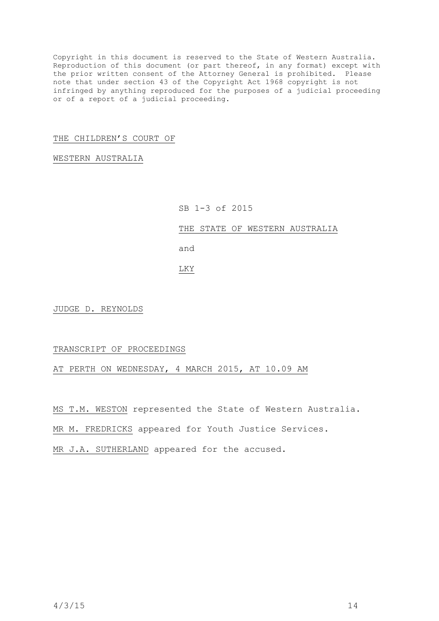Copyright in this document is reserved to the State of Western Australia. Reproduction of this document (or part thereof, in any format) except with the prior written consent of the Attorney General is prohibited. Please note that under section 43 of the Copyright Act 1968 copyright is not infringed by anything reproduced for the purposes of a judicial proceeding or of a report of a judicial proceeding.

## THE CHILDREN'S COURT OF

## WESTERN AUSTRALIA

## SB 1-3 of 2015

THE STATE OF WESTERN AUSTRALIA

and

LKY

JUDGE D. REYNOLDS

## TRANSCRIPT OF PROCEEDINGS

AT PERTH ON WEDNESDAY, 4 MARCH 2015, AT 10.09 AM

MS T.M. WESTON represented the State of Western Australia.

MR M. FREDRICKS appeared for Youth Justice Services.

MR J.A. SUTHERLAND appeared for the accused.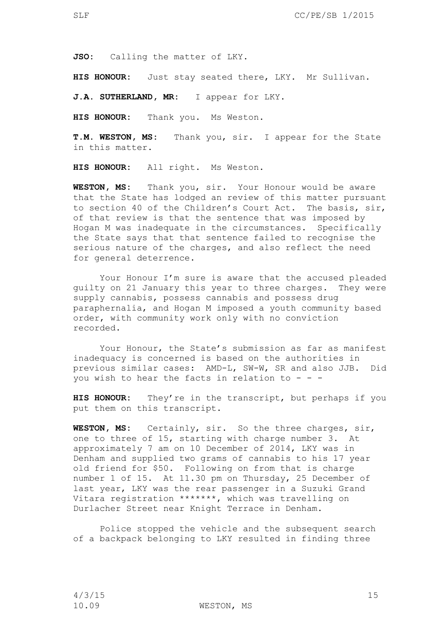**JSO:** Calling the matter of LKY.

**HIS HONOUR:** Just stay seated there, LKY. Mr Sullivan.

**J.A. SUTHERLAND, MR:** I appear for LKY.

**HIS HONOUR:** Thank you. Ms Weston.

**T.M. WESTON, MS:** Thank you, sir. I appear for the State in this matter.

**HIS HONOUR:** All right. Ms Weston.

**WESTON, MS:** Thank you, sir. Your Honour would be aware that the State has lodged an review of this matter pursuant to section 40 of the Children's Court Act. The basis, sir, of that review is that the sentence that was imposed by Hogan M was inadequate in the circumstances. Specifically the State says that that sentence failed to recognise the serious nature of the charges, and also reflect the need for general deterrence.

Your Honour I'm sure is aware that the accused pleaded guilty on 21 January this year to three charges. They were supply cannabis, possess cannabis and possess drug paraphernalia, and Hogan M imposed a youth community based order, with community work only with no conviction recorded.

Your Honour, the State's submission as far as manifest inadequacy is concerned is based on the authorities in previous similar cases: AMD-L, SW-W, SR and also JJB. Did you wish to hear the facts in relation to  $- -$ 

**HIS HONOUR:** They're in the transcript, but perhaps if you put them on this transcript.

**WESTON, MS:** Certainly, sir. So the three charges, sir, one to three of 15, starting with charge number 3. At approximately 7 am on 10 December of 2014, LKY was in Denham and supplied two grams of cannabis to his 17 year old friend for \$50. Following on from that is charge number 1 of 15. At 11.30 pm on Thursday, 25 December of last year, LKY was the rear passenger in a Suzuki Grand Vitara registration \*\*\*\*\*\*\*, which was travelling on Durlacher Street near Knight Terrace in Denham.

Police stopped the vehicle and the subsequent search of a backpack belonging to LKY resulted in finding three

10.09 WESTON, MS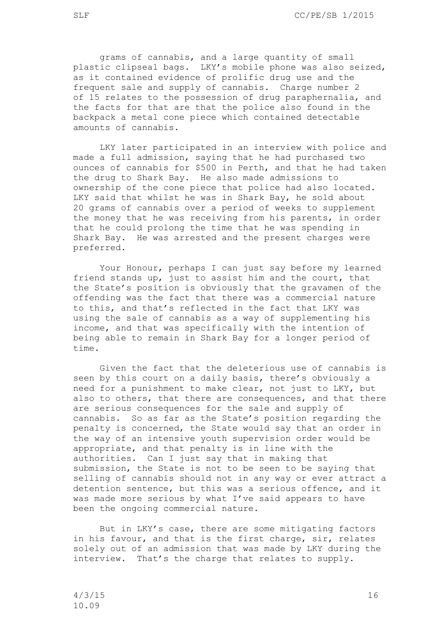grams of cannabis, and a large quantity of small plastic clipseal bags. LKY's mobile phone was also seized, as it contained evidence of prolific drug use and the frequent sale and supply of cannabis. Charge number 2 of 15 relates to the possession of drug paraphernalia, and the facts for that are that the police also found in the backpack a metal cone piece which contained detectable amounts of cannabis.

LKY later participated in an interview with police and made a full admission, saying that he had purchased two ounces of cannabis for \$500 in Perth, and that he had taken the drug to Shark Bay. He also made admissions to ownership of the cone piece that police had also located. LKY said that whilst he was in Shark Bay, he sold about 20 grams of cannabis over a period of weeks to supplement the money that he was receiving from his parents, in order that he could prolong the time that he was spending in Shark Bay. He was arrested and the present charges were preferred.

Your Honour, perhaps I can just say before my learned friend stands up, just to assist him and the court, that the State's position is obviously that the gravamen of the offending was the fact that there was a commercial nature to this, and that's reflected in the fact that LKY was using the sale of cannabis as a way of supplementing his income, and that was specifically with the intention of being able to remain in Shark Bay for a longer period of time.

Given the fact that the deleterious use of cannabis is seen by this court on a daily basis, there's obviously a need for a punishment to make clear, not just to LKY, but also to others, that there are consequences, and that there are serious consequences for the sale and supply of cannabis. So as far as the State's position regarding the penalty is concerned, the State would say that an order in the way of an intensive youth supervision order would be appropriate, and that penalty is in line with the authorities. Can I just say that in making that submission, the State is not to be seen to be saying that selling of cannabis should not in any way or ever attract a detention sentence, but this was a serious offence, and it was made more serious by what I've said appears to have been the ongoing commercial nature.

But in LKY's case, there are some mitigating factors in his favour, and that is the first charge, sir, relates solely out of an admission that was made by LKY during the interview. That's the charge that relates to supply.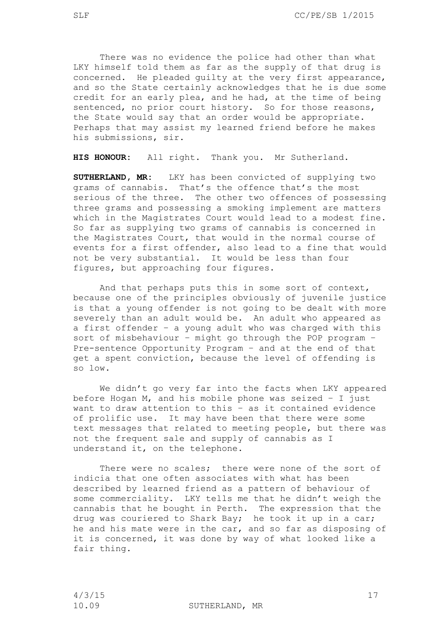There was no evidence the police had other than what LKY himself told them as far as the supply of that drug is concerned. He pleaded guilty at the very first appearance, and so the State certainly acknowledges that he is due some credit for an early plea, and he had, at the time of being sentenced, no prior court history. So for those reasons, the State would say that an order would be appropriate. Perhaps that may assist my learned friend before he makes his submissions, sir.

**HIS HONOUR:** All right. Thank you. Mr Sutherland.

**SUTHERLAND, MR:** LKY has been convicted of supplying two grams of cannabis. That's the offence that's the most serious of the three. The other two offences of possessing three grams and possessing a smoking implement are matters which in the Magistrates Court would lead to a modest fine. So far as supplying two grams of cannabis is concerned in the Magistrates Court, that would in the normal course of events for a first offender, also lead to a fine that would not be very substantial. It would be less than four figures, but approaching four figures.

And that perhaps puts this in some sort of context, because one of the principles obviously of juvenile justice is that a young offender is not going to be dealt with more severely than an adult would be. An adult who appeared as a first offender – a young adult who was charged with this sort of misbehaviour – might go through the POP program – Pre-sentence Opportunity Program – and at the end of that get a spent conviction, because the level of offending is so low.

We didn't go very far into the facts when LKY appeared before Hogan M, and his mobile phone was seized – I just want to draw attention to this – as it contained evidence of prolific use. It may have been that there were some text messages that related to meeting people, but there was not the frequent sale and supply of cannabis as I understand it, on the telephone.

There were no scales; there were none of the sort of indicia that one often associates with what has been described by learned friend as a pattern of behaviour of some commerciality. LKY tells me that he didn't weigh the cannabis that he bought in Perth. The expression that the drug was couriered to Shark Bay; he took it up in a car; he and his mate were in the car, and so far as disposing of it is concerned, it was done by way of what looked like a fair thing.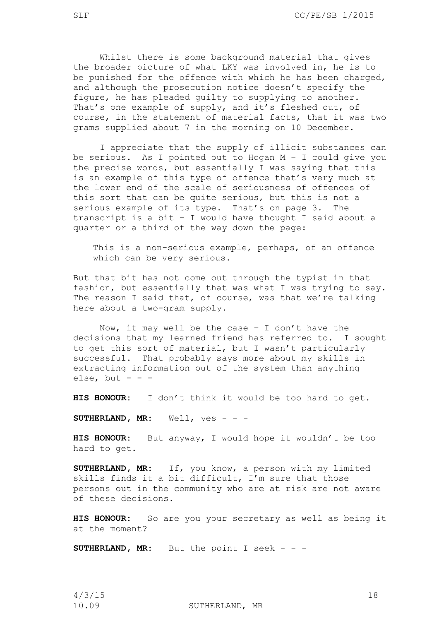Whilst there is some background material that gives the broader picture of what LKY was involved in, he is to be punished for the offence with which he has been charged, and although the prosecution notice doesn't specify the figure, he has pleaded guilty to supplying to another. That's one example of supply, and it's fleshed out, of course, in the statement of material facts, that it was two grams supplied about 7 in the morning on 10 December.

I appreciate that the supply of illicit substances can be serious. As I pointed out to Hogan M – I could give you the precise words, but essentially I was saying that this is an example of this type of offence that's very much at the lower end of the scale of seriousness of offences of this sort that can be quite serious, but this is not a serious example of its type. That's on page 3. The transcript is a bit – I would have thought I said about a quarter or a third of the way down the page:

This is a non-serious example, perhaps, of an offence which can be very serious.

But that bit has not come out through the typist in that fashion, but essentially that was what I was trying to say. The reason I said that, of course, was that we're talking here about a two-gram supply.

Now, it may well be the case  $-$  I don't have the decisions that my learned friend has referred to. I sought to get this sort of material, but I wasn't particularly successful. That probably says more about my skills in extracting information out of the system than anything else, but  $- -$ 

**HIS HONOUR:** I don't think it would be too hard to get.

**SUTHERLAND, MR:** Well, yes - - -

**HIS HONOUR:** But anyway, I would hope it wouldn't be too hard to get.

**SUTHERLAND, MR:** If, you know, a person with my limited skills finds it a bit difficult, I'm sure that those persons out in the community who are at risk are not aware of these decisions.

**HIS HONOUR:** So are you your secretary as well as being it at the moment?

**SUTHERLAND, MR:** But the point I seek - - -

4/3/15 18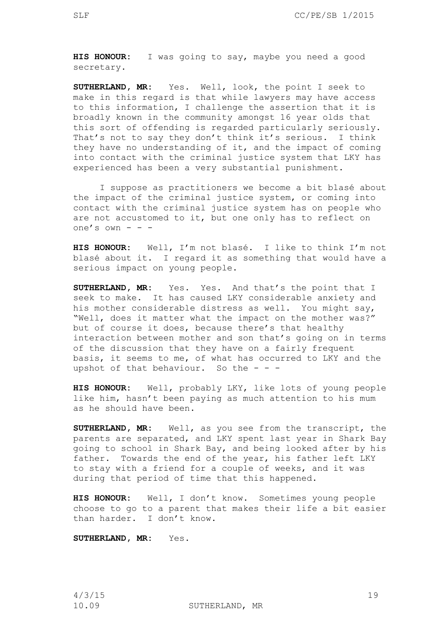**HIS HONOUR:** I was going to say, maybe you need a good secretary.

**SUTHERLAND, MR:** Yes. Well, look, the point I seek to make in this regard is that while lawyers may have access to this information, I challenge the assertion that it is broadly known in the community amongst 16 year olds that this sort of offending is regarded particularly seriously. That's not to say they don't think it's serious. I think they have no understanding of it, and the impact of coming into contact with the criminal justice system that LKY has experienced has been a very substantial punishment.

I suppose as practitioners we become a bit blasé about the impact of the criminal justice system, or coming into contact with the criminal justice system has on people who are not accustomed to it, but one only has to reflect on one's own - - -

**HIS HONOUR:** Well, I'm not blasé. I like to think I'm not blasé about it. I regard it as something that would have a serious impact on young people.

**SUTHERLAND, MR:** Yes. Yes. And that's the point that I seek to make. It has caused LKY considerable anxiety and his mother considerable distress as well. You might say, "Well, does it matter what the impact on the mother was?" but of course it does, because there's that healthy interaction between mother and son that's going on in terms of the discussion that they have on a fairly frequent basis, it seems to me, of what has occurred to LKY and the upshot of that behaviour. So the  $-$  -

**HIS HONOUR:** Well, probably LKY, like lots of young people like him, hasn't been paying as much attention to his mum as he should have been.

**SUTHERLAND, MR:** Well, as you see from the transcript, the parents are separated, and LKY spent last year in Shark Bay going to school in Shark Bay, and being looked after by his father. Towards the end of the year, his father left LKY to stay with a friend for a couple of weeks, and it was during that period of time that this happened.

**HIS HONOUR:** Well, I don't know. Sometimes young people choose to go to a parent that makes their life a bit easier than harder. I don't know.

**SUTHERLAND, MR:** Yes.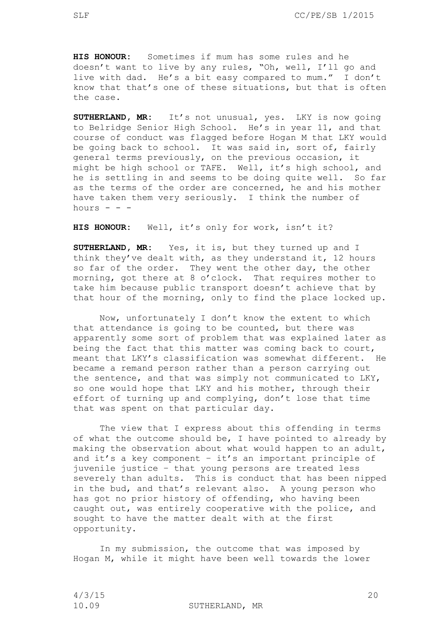**HIS HONOUR:** Sometimes if mum has some rules and he doesn't want to live by any rules, "Oh, well, I'll go and live with dad. He's a bit easy compared to mum." I don't know that that's one of these situations, but that is often the case.

**SUTHERLAND, MR:** It's not unusual, yes. LKY is now going to Belridge Senior High School. He's in year 11, and that course of conduct was flagged before Hogan M that LKY would be going back to school. It was said in, sort of, fairly general terms previously, on the previous occasion, it might be high school or TAFE. Well, it's high school, and he is settling in and seems to be doing quite well. So far as the terms of the order are concerned, he and his mother have taken them very seriously. I think the number of hours  $- -$ 

**HIS HONOUR:** Well, it's only for work, isn't it?

**SUTHERLAND, MR:** Yes, it is, but they turned up and I think they've dealt with, as they understand it, 12 hours so far of the order. They went the other day, the other morning, got there at 8 o'clock. That requires mother to take him because public transport doesn't achieve that by that hour of the morning, only to find the place locked up.

Now, unfortunately I don't know the extent to which that attendance is going to be counted, but there was apparently some sort of problem that was explained later as being the fact that this matter was coming back to court, meant that LKY's classification was somewhat different. He became a remand person rather than a person carrying out the sentence, and that was simply not communicated to LKY, so one would hope that LKY and his mother, through their effort of turning up and complying, don't lose that time that was spent on that particular day.

The view that I express about this offending in terms of what the outcome should be, I have pointed to already by making the observation about what would happen to an adult, and it's a key component – it's an important principle of juvenile justice – that young persons are treated less severely than adults. This is conduct that has been nipped in the bud, and that's relevant also. A young person who has got no prior history of offending, who having been caught out, was entirely cooperative with the police, and sought to have the matter dealt with at the first opportunity.

In my submission, the outcome that was imposed by Hogan M, while it might have been well towards the lower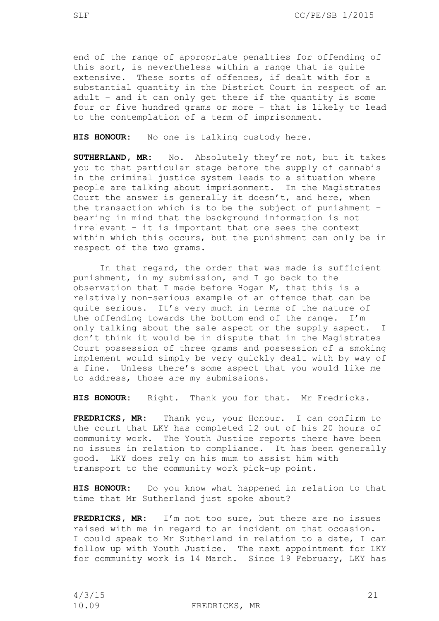end of the range of appropriate penalties for offending of this sort, is nevertheless within a range that is quite extensive. These sorts of offences, if dealt with for a substantial quantity in the District Court in respect of an adult – and it can only get there if the quantity is some four or five hundred grams or more – that is likely to lead to the contemplation of a term of imprisonment.

**HIS HONOUR:** No one is talking custody here.

**SUTHERLAND, MR:** No. Absolutely they're not, but it takes you to that particular stage before the supply of cannabis in the criminal justice system leads to a situation where people are talking about imprisonment. In the Magistrates Court the answer is generally it doesn't, and here, when the transaction which is to be the subject of punishment – bearing in mind that the background information is not irrelevant – it is important that one sees the context within which this occurs, but the punishment can only be in respect of the two grams.

In that regard, the order that was made is sufficient punishment, in my submission, and I go back to the observation that I made before Hogan M, that this is a relatively non-serious example of an offence that can be quite serious. It's very much in terms of the nature of the offending towards the bottom end of the range. I'm only talking about the sale aspect or the supply aspect. I don't think it would be in dispute that in the Magistrates Court possession of three grams and possession of a smoking implement would simply be very quickly dealt with by way of a fine. Unless there's some aspect that you would like me to address, those are my submissions.

**HIS HONOUR:** Right. Thank you for that. Mr Fredricks.

**FREDRICKS, MR:** Thank you, your Honour. I can confirm to the court that LKY has completed 12 out of his 20 hours of community work. The Youth Justice reports there have been no issues in relation to compliance. It has been generally good. LKY does rely on his mum to assist him with transport to the community work pick-up point.

**HIS HONOUR:** Do you know what happened in relation to that time that Mr Sutherland just spoke about?

**FREDRICKS, MR:** I'm not too sure, but there are no issues raised with me in regard to an incident on that occasion. I could speak to Mr Sutherland in relation to a date, I can follow up with Youth Justice. The next appointment for LKY for community work is 14 March. Since 19 February, LKY has

10.09 FREDRICKS, MR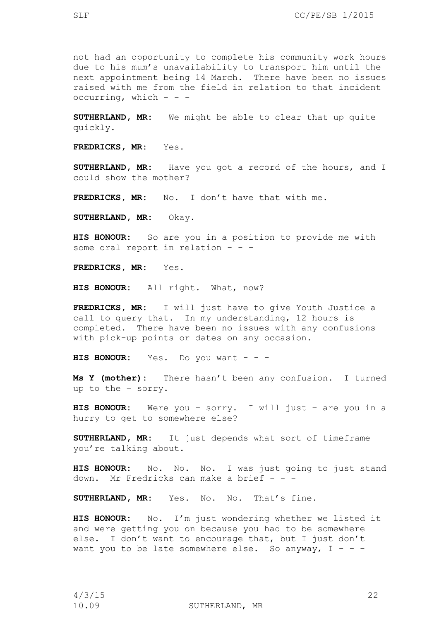not had an opportunity to complete his community work hours due to his mum's unavailability to transport him until the next appointment being 14 March. There have been no issues raised with me from the field in relation to that incident occurring, which  $- -$ 

**SUTHERLAND, MR:** We might be able to clear that up quite quickly.

**FREDRICKS, MR:** Yes.

**SUTHERLAND, MR:** Have you got a record of the hours, and I could show the mother?

**FREDRICKS, MR:** No. I don't have that with me.

**SUTHERLAND, MR:** Okay.

**HIS HONOUR:** So are you in a position to provide me with some oral report in relation - - -

**FREDRICKS, MR:** Yes.

**HIS HONOUR:** All right. What, now?

**FREDRICKS, MR:** I will just have to give Youth Justice a call to query that. In my understanding, 12 hours is completed. There have been no issues with any confusions with pick-up points or dates on any occasion.

**HIS HONOUR:** Yes. Do you want - - -

**Ms Y (mother):** There hasn't been any confusion. I turned up to the – sorry.

**HIS HONOUR:** Were you – sorry. I will just – are you in a hurry to get to somewhere else?

**SUTHERLAND, MR:** It just depends what sort of timeframe you're talking about.

**HIS HONOUR:** No. No. No. I was just going to just stand down. Mr Fredricks can make a brief  $- -$ 

**SUTHERLAND, MR:** Yes. No. No. That's fine.

**HIS HONOUR:** No. I'm just wondering whether we listed it and were getting you on because you had to be somewhere else. I don't want to encourage that, but I just don't want you to be late somewhere else. So anyway,  $I - - -$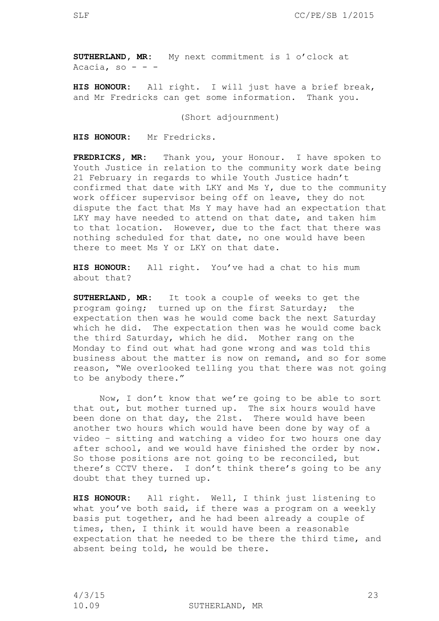**SUTHERLAND, MR:** My next commitment is 1 o'clock at Acacia, so  $- -$ 

**HIS HONOUR:** All right. I will just have a brief break, and Mr Fredricks can get some information. Thank you.

(Short adjournment)

**HIS HONOUR:** Mr Fredricks.

**FREDRICKS, MR:** Thank you, your Honour. I have spoken to Youth Justice in relation to the community work date being 21 February in regards to while Youth Justice hadn't confirmed that date with LKY and Ms Y, due to the community work officer supervisor being off on leave, they do not dispute the fact that Ms Y may have had an expectation that LKY may have needed to attend on that date, and taken him to that location. However, due to the fact that there was nothing scheduled for that date, no one would have been there to meet Ms Y or LKY on that date.

**HIS HONOUR:** All right. You've had a chat to his mum about that?

**SUTHERLAND, MR:** It took a couple of weeks to get the program going; turned up on the first Saturday; the expectation then was he would come back the next Saturday which he did. The expectation then was he would come back the third Saturday, which he did. Mother rang on the Monday to find out what had gone wrong and was told this business about the matter is now on remand, and so for some reason, "We overlooked telling you that there was not going to be anybody there."

Now, I don't know that we're going to be able to sort that out, but mother turned up. The six hours would have been done on that day, the 21st. There would have been another two hours which would have been done by way of a video – sitting and watching a video for two hours one day after school, and we would have finished the order by now. So those positions are not going to be reconciled, but there's CCTV there. I don't think there's going to be any doubt that they turned up.

**HIS HONOUR:** All right. Well, I think just listening to what you've both said, if there was a program on a weekly basis put together, and he had been already a couple of times, then, I think it would have been a reasonable expectation that he needed to be there the third time, and absent being told, he would be there.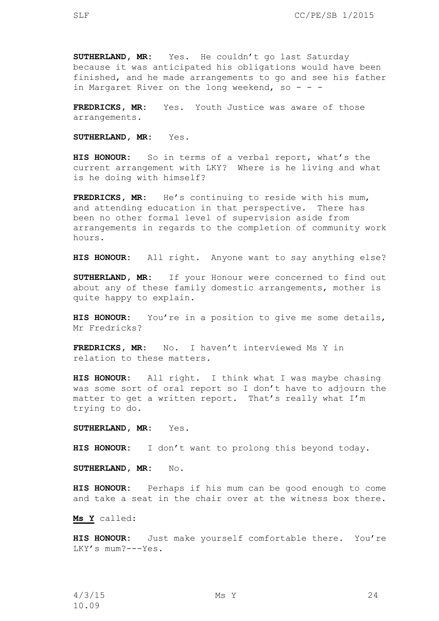**SUTHERLAND, MR:** Yes. He couldn't go last Saturday because it was anticipated his obligations would have been finished, and he made arrangements to go and see his father in Margaret River on the long weekend, so - - -

**FREDRICKS, MR:** Yes. Youth Justice was aware of those arrangements.

**SUTHERLAND, MR:** Yes.

**HIS HONOUR:** So in terms of a verbal report, what's the current arrangement with LKY? Where is he living and what is he doing with himself?

**FREDRICKS, MR:** He's continuing to reside with his mum, and attending education in that perspective. There has been no other formal level of supervision aside from arrangements in regards to the completion of community work hours.

**HIS HONOUR:** All right. Anyone want to say anything else?

**SUTHERLAND, MR:** If your Honour were concerned to find out about any of these family domestic arrangements, mother is quite happy to explain.

**HIS HONOUR:** You're in a position to give me some details, Mr Fredricks?

**FREDRICKS, MR:** No. I haven't interviewed Ms Y in relation to these matters.

**HIS HONOUR:** All right. I think what I was maybe chasing was some sort of oral report so I don't have to adjourn the matter to get a written report. That's really what I'm trying to do.

**SUTHERLAND, MR:** Yes.

**HIS HONOUR:** I don't want to prolong this beyond today.

**SUTHERLAND, MR:** No.

**HIS HONOUR:** Perhaps if his mum can be good enough to come and take a seat in the chair over at the witness box there.

**Ms Y** called:

**HIS HONOUR:** Just make yourself comfortable there. You're LKY's mum?---Yes.

4/3/15 Ms Y 24 10.09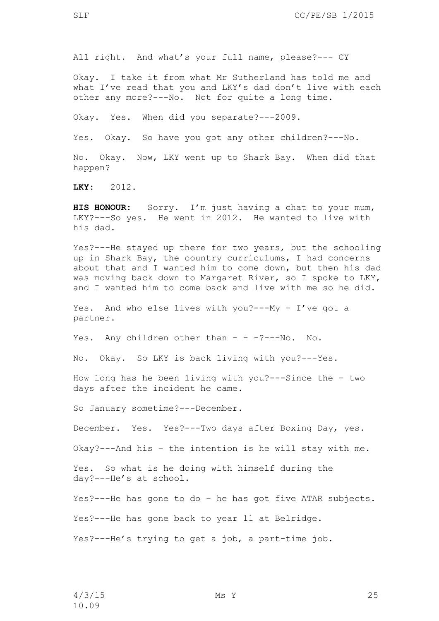All right. And what's your full name, please?--- CY

Okay. I take it from what Mr Sutherland has told me and what I've read that you and LKY's dad don't live with each other any more?---No. Not for quite a long time.

Okay. Yes. When did you separate?---2009.

Yes. Okay. So have you got any other children?---No.

No. Okay. Now, LKY went up to Shark Bay. When did that happen?

**LKY:** 2012.

**HIS HONOUR:** Sorry. I'm just having a chat to your mum, LKY?---So yes. He went in 2012. He wanted to live with his dad.

Yes?---He stayed up there for two years, but the schooling up in Shark Bay, the country curriculums, I had concerns about that and I wanted him to come down, but then his dad was moving back down to Margaret River, so I spoke to LKY, and I wanted him to come back and live with me so he did.

Yes. And who else lives with you?---My – I've got a partner.

Yes. Any children other than - - - ?---No. No.

No. Okay. So LKY is back living with you?---Yes.

How long has he been living with you?---Since the – two days after the incident he came.

So January sometime?---December.

December. Yes. Yes?---Two days after Boxing Day, yes.

Okay?---And his – the intention is he will stay with me.

Yes. So what is he doing with himself during the day?---He's at school.

Yes?---He has gone to do – he has got five ATAR subjects.

Yes?---He has gone back to year 11 at Belridge.

Yes?---He's trying to get a job, a part-time job.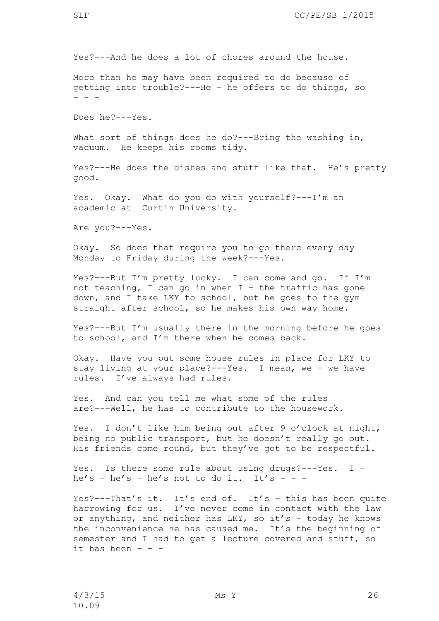More than he may have been required to do because of getting into trouble?---He – he offers to do things, so - - -

Does he?---Yes.

What sort of things does he do?---Bring the washing in, vacuum. He keeps his rooms tidy.

Yes?---He does the dishes and stuff like that. He's pretty good.

Yes. Okay. What do you do with yourself?---I'm an academic at Curtin University.

Are you?---Yes.

Okay. So does that require you to go there every day Monday to Friday during the week?---Yes.

Yes?---But I'm pretty lucky. I can come and go. If I'm not teaching, I can go in when  $I -$  the traffic has gone down, and I take LKY to school, but he goes to the gym straight after school, so he makes his own way home.

Yes?---But I'm usually there in the morning before he goes to school, and I'm there when he comes back.

Okay. Have you put some house rules in place for LKY to stay living at your place?---Yes. I mean, we – we have rules. I've always had rules.

Yes. And can you tell me what some of the rules are?---Well, he has to contribute to the housework.

Yes. I don't like him being out after 9 o'clock at night, being no public transport, but he doesn't really go out. His friends come round, but they've got to be respectful.

Yes. Is there some rule about using drugs?---Yes. I – he's - he's - he's not to do it. It's - - -

Yes?---That's it. It's end of. It's – this has been quite harrowing for us. I've never come in contact with the law or anything, and neither has LKY, so it's – today he knows the inconvenience he has caused me. It's the beginning of semester and I had to get a lecture covered and stuff, so it has been  $- -$ 

4/3/15 Ms Y 26 10.09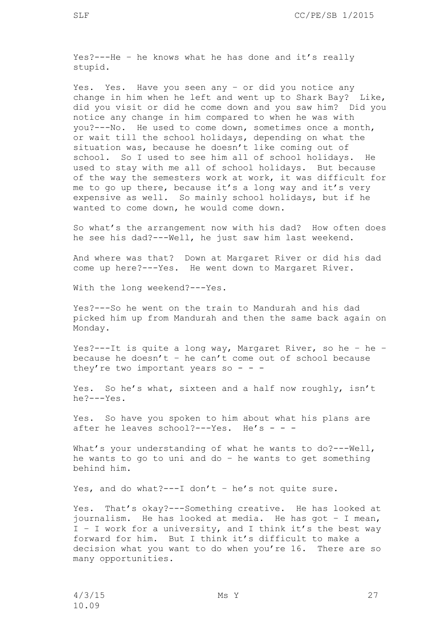Yes. Yes. Have you seen any – or did you notice any change in him when he left and went up to Shark Bay? Like, did you visit or did he come down and you saw him? Did you notice any change in him compared to when he was with you?---No. He used to come down, sometimes once a month, or wait till the school holidays, depending on what the situation was, because he doesn't like coming out of school. So I used to see him all of school holidays. He used to stay with me all of school holidays. But because of the way the semesters work at work, it was difficult for me to go up there, because it's a long way and it's very expensive as well. So mainly school holidays, but if he wanted to come down, he would come down.

So what's the arrangement now with his dad? How often does he see his dad?---Well, he just saw him last weekend.

And where was that? Down at Margaret River or did his dad come up here?---Yes. He went down to Margaret River.

With the long weekend?---Yes.

Yes?---So he went on the train to Mandurah and his dad picked him up from Mandurah and then the same back again on Monday.

Yes?---It is quite a long way, Margaret River, so he – he – because he doesn't - he can't come out of school because they're two important years so - - -

Yes. So he's what, sixteen and a half now roughly, isn't he?---Yes.

Yes. So have you spoken to him about what his plans are after he leaves school?---Yes. He's - - -

What's your understanding of what he wants to do?---Well, he wants to go to uni and do – he wants to get something behind him.

Yes, and do what?---I don't - he's not quite sure.

Yes. That's okay?---Something creative. He has looked at journalism. He has looked at media. He has got – I mean, I – I work for a university, and I think it's the best way forward for him. But I think it's difficult to make a decision what you want to do when you're 16. There are so many opportunities.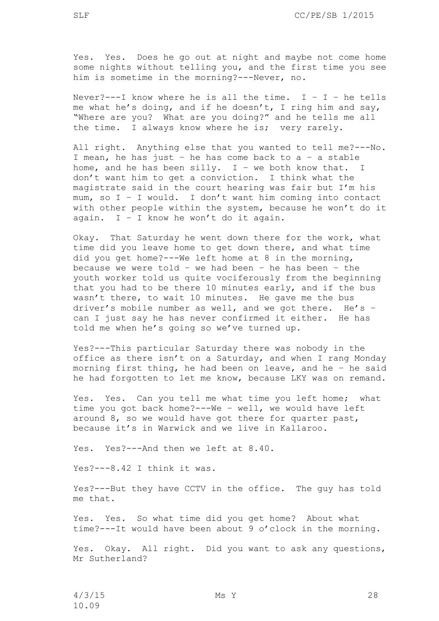Yes. Yes. Does he go out at night and maybe not come home some nights without telling you, and the first time you see him is sometime in the morning?---Never, no.

Never?---I know where he is all the time.  $I - I -$  he tells me what he's doing, and if he doesn't, I ring him and say, "Where are you? What are you doing?" and he tells me all the time. I always know where he is; very rarely.

All right. Anything else that you wanted to tell me?---No. I mean, he has just - he has come back to  $a - a$  stable home, and he has been silly.  $I - we$  both know that. I don't want him to get a conviction. I think what the magistrate said in the court hearing was fair but I'm his mum, so I – I would. I don't want him coming into contact with other people within the system, because he won't do it again.  $I - I$  know he won't do it again.

Okay. That Saturday he went down there for the work, what time did you leave home to get down there, and what time did you get home?---We left home at 8 in the morning, because we were told - we had been - he has been - the youth worker told us quite vociferously from the beginning that you had to be there 10 minutes early, and if the bus wasn't there, to wait 10 minutes. He gave me the bus driver's mobile number as well, and we got there. He's – can I just say he has never confirmed it either. He has told me when he's going so we've turned up.

Yes?---This particular Saturday there was nobody in the office as there isn't on a Saturday, and when I rang Monday morning first thing, he had been on leave, and he – he said he had forgotten to let me know, because LKY was on remand.

Yes. Yes. Can you tell me what time you left home; what time you got back home?---We – well, we would have left around 8, so we would have got there for quarter past, because it's in Warwick and we live in Kallaroo.

Yes. Yes?---And then we left at 8.40.

Yes?---8.42 I think it was.

Yes?---But they have CCTV in the office. The guy has told me that.

Yes. Yes. So what time did you get home? About what time?---It would have been about 9 o'clock in the morning.

Yes. Okay. All right. Did you want to ask any questions, Mr Sutherland?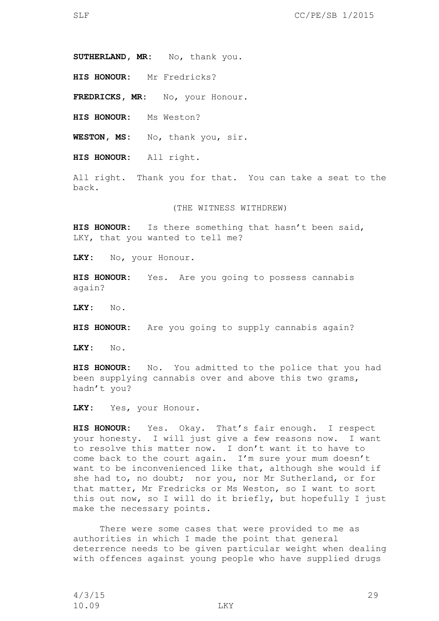**SUTHERLAND, MR:** No, thank you.

**HIS HONOUR:** Mr Fredricks?

FREDRICKS, MR: No, your Honour.

**HIS HONOUR:** Ms Weston?

**WESTON, MS:** No, thank you, sir.

**HIS HONOUR:** All right.

All right. Thank you for that. You can take a seat to the back.

(THE WITNESS WITHDREW)

**HIS HONOUR:** Is there something that hasn't been said, LKY, that you wanted to tell me?

**LKY:** No, your Honour.

**HIS HONOUR:** Yes. Are you going to possess cannabis again?

**LKY:** No.

**HIS HONOUR:** Are you going to supply cannabis again?

**LKY:** No.

**HIS HONOUR:** No. You admitted to the police that you had been supplying cannabis over and above this two grams, hadn't you?

**LKY:** Yes, your Honour.

**HIS HONOUR:** Yes. Okay. That's fair enough. I respect your honesty. I will just give a few reasons now. I want to resolve this matter now. I don't want it to have to come back to the court again. I'm sure your mum doesn't want to be inconvenienced like that, although she would if she had to, no doubt; nor you, nor Mr Sutherland, or for that matter, Mr Fredricks or Ms Weston, so I want to sort this out now, so I will do it briefly, but hopefully I just make the necessary points.

There were some cases that were provided to me as authorities in which I made the point that general deterrence needs to be given particular weight when dealing with offences against young people who have supplied drugs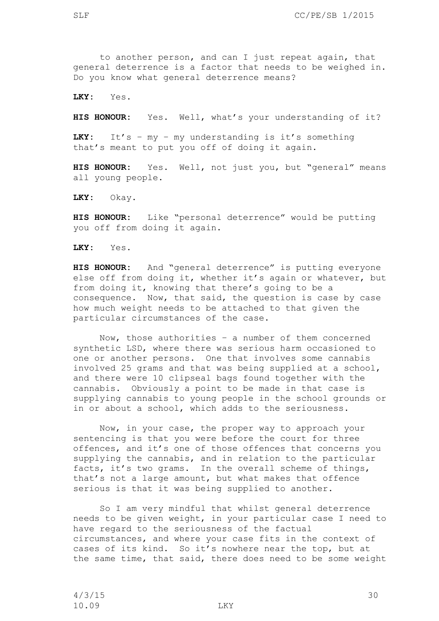to another person, and can I just repeat again, that general deterrence is a factor that needs to be weighed in. Do you know what general deterrence means?

**LKY:** Yes.

**HIS HONOUR:** Yes. Well, what's your understanding of it?

LKY: It's - my - my understanding is it's something that's meant to put you off of doing it again.

**HIS HONOUR:** Yes. Well, not just you, but "general" means all young people.

**LKY:** Okay.

**HIS HONOUR:** Like "personal deterrence" would be putting you off from doing it again.

**LKY:** Yes.

**HIS HONOUR:** And "general deterrence" is putting everyone else off from doing it, whether it's again or whatever, but from doing it, knowing that there's going to be a consequence. Now, that said, the question is case by case how much weight needs to be attached to that given the particular circumstances of the case.

Now, those authorities – a number of them concerned synthetic LSD, where there was serious harm occasioned to one or another persons. One that involves some cannabis involved 25 grams and that was being supplied at a school, and there were 10 clipseal bags found together with the cannabis. Obviously a point to be made in that case is supplying cannabis to young people in the school grounds or in or about a school, which adds to the seriousness.

Now, in your case, the proper way to approach your sentencing is that you were before the court for three offences, and it's one of those offences that concerns you supplying the cannabis, and in relation to the particular facts, it's two grams. In the overall scheme of things, that's not a large amount, but what makes that offence serious is that it was being supplied to another.

So I am very mindful that whilst general deterrence needs to be given weight, in your particular case I need to have regard to the seriousness of the factual circumstances, and where your case fits in the context of cases of its kind. So it's nowhere near the top, but at the same time, that said, there does need to be some weight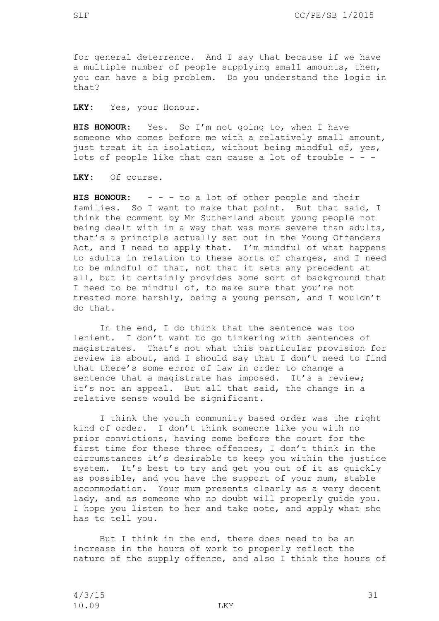for general deterrence. And I say that because if we have a multiple number of people supplying small amounts, then, you can have a big problem. Do you understand the logic in that?

**LKY:** Yes, your Honour.

HIS HONOUR: Yes. So I'm not going to, when I have someone who comes before me with a relatively small amount, just treat it in isolation, without being mindful of, yes, lots of people like that can cause a lot of trouble  $- -$ 

**LKY:** Of course.

**HIS HONOUR:** - - - to a lot of other people and their families. So I want to make that point. But that said, I think the comment by Mr Sutherland about young people not being dealt with in a way that was more severe than adults, that's a principle actually set out in the Young Offenders Act, and I need to apply that. I'm mindful of what happens to adults in relation to these sorts of charges, and I need to be mindful of that, not that it sets any precedent at all, but it certainly provides some sort of background that I need to be mindful of, to make sure that you're not treated more harshly, being a young person, and I wouldn't do that.

In the end, I do think that the sentence was too lenient. I don't want to go tinkering with sentences of magistrates. That's not what this particular provision for review is about, and I should say that I don't need to find that there's some error of law in order to change a sentence that a magistrate has imposed. It's a review; it's not an appeal. But all that said, the change in a relative sense would be significant.

I think the youth community based order was the right kind of order. I don't think someone like you with no prior convictions, having come before the court for the first time for these three offences, I don't think in the circumstances it's desirable to keep you within the justice system. It's best to try and get you out of it as quickly as possible, and you have the support of your mum, stable accommodation. Your mum presents clearly as a very decent lady, and as someone who no doubt will properly guide you. I hope you listen to her and take note, and apply what she has to tell you.

But I think in the end, there does need to be an increase in the hours of work to properly reflect the nature of the supply offence, and also I think the hours of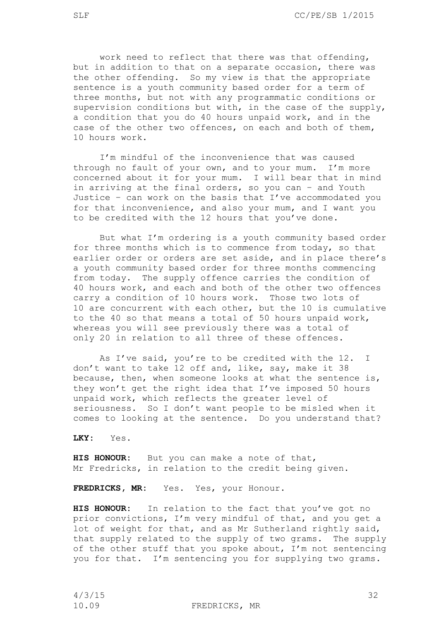work need to reflect that there was that offending, but in addition to that on a separate occasion, there was the other offending. So my view is that the appropriate sentence is a youth community based order for a term of three months, but not with any programmatic conditions or supervision conditions but with, in the case of the supply, a condition that you do 40 hours unpaid work, and in the case of the other two offences, on each and both of them, 10 hours work.

I'm mindful of the inconvenience that was caused through no fault of your own, and to your mum. I'm more concerned about it for your mum. I will bear that in mind in arriving at the final orders, so you can – and Youth Justice – can work on the basis that I've accommodated you for that inconvenience, and also your mum, and I want you to be credited with the 12 hours that you've done.

But what I'm ordering is a youth community based order for three months which is to commence from today, so that earlier order or orders are set aside, and in place there's a youth community based order for three months commencing from today. The supply offence carries the condition of 40 hours work, and each and both of the other two offences carry a condition of 10 hours work. Those two lots of 10 are concurrent with each other, but the 10 is cumulative to the 40 so that means a total of 50 hours unpaid work, whereas you will see previously there was a total of only 20 in relation to all three of these offences.

As I've said, you're to be credited with the 12. I don't want to take 12 off and, like, say, make it 38 because, then, when someone looks at what the sentence is, they won't get the right idea that I've imposed 50 hours unpaid work, which reflects the greater level of seriousness. So I don't want people to be misled when it comes to looking at the sentence. Do you understand that?

**LKY:** Yes.

**HIS HONOUR:** But you can make a note of that, Mr Fredricks, in relation to the credit being given.

FREDRICKS, MR: Yes. Yes, your Honour.

**HIS HONOUR:** In relation to the fact that you've got no prior convictions, I'm very mindful of that, and you get a lot of weight for that, and as Mr Sutherland rightly said, that supply related to the supply of two grams. The supply of the other stuff that you spoke about, I'm not sentencing you for that. I'm sentencing you for supplying two grams.

4/3/15 32

10.09 FREDRICKS, MR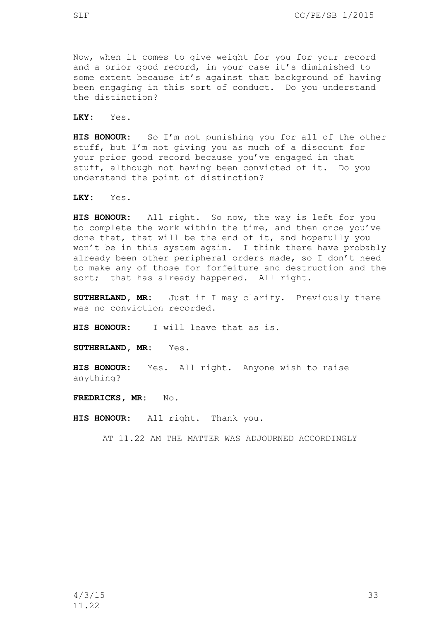Now, when it comes to give weight for you for your record and a prior good record, in your case it's diminished to some extent because it's against that background of having been engaging in this sort of conduct. Do you understand the distinction?

**LKY:** Yes.

**HIS HONOUR:** So I'm not punishing you for all of the other stuff, but I'm not giving you as much of a discount for your prior good record because you've engaged in that stuff, although not having been convicted of it. Do you understand the point of distinction?

**LKY:** Yes.

**HIS HONOUR:** All right. So now, the way is left for you to complete the work within the time, and then once you've done that, that will be the end of it, and hopefully you won't be in this system again. I think there have probably already been other peripheral orders made, so I don't need to make any of those for forfeiture and destruction and the sort; that has already happened. All right.

**SUTHERLAND, MR:** Just if I may clarify. Previously there was no conviction recorded.

**HIS HONOUR:** I will leave that as is.

**SUTHERLAND, MR:** Yes.

**HIS HONOUR:** Yes. All right. Anyone wish to raise anything?

**FREDRICKS, MR:** No.

**HIS HONOUR:** All right. Thank you.

AT 11.22 AM THE MATTER WAS ADJOURNED ACCORDINGLY